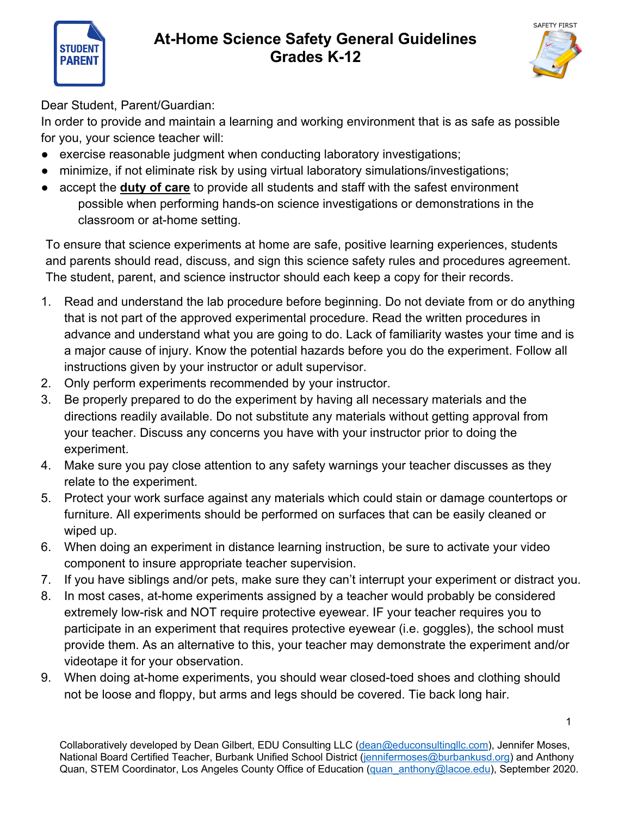



Dear Student, Parent/Guardian:

**STUDEN PARENT** 

In order to provide and maintain a learning and working environment that is as safe as possible for you, your science teacher will:

- exercise reasonable judgment when conducting laboratory investigations;
- minimize, if not eliminate risk by using virtual laboratory simulations/investigations;
- accept the **duty of care** to provide all students and staff with the safest environment possible when performing hands-on science investigations or demonstrations in the classroom or at-home setting.

To ensure that science experiments at home are safe, positive learning experiences, students and parents should read, discuss, and sign this science safety rules and procedures agreement. The student, parent, and science instructor should each keep a copy for their records.

- 1. Read and understand the lab procedure before beginning. Do not deviate from or do anything that is not part of the approved experimental procedure. Read the written procedures in advance and understand what you are going to do. Lack of familiarity wastes your time and is a major cause of injury. Know the potential hazards before you do the experiment. Follow all instructions given by your instructor or adult supervisor.
- 2. Only perform experiments recommended by your instructor.
- 3. Be properly prepared to do the experiment by having all necessary materials and the directions readily available. Do not substitute any materials without getting approval from your teacher. Discuss any concerns you have with your instructor prior to doing the experiment.
- 4. Make sure you pay close attention to any safety warnings your teacher discusses as they relate to the experiment.
- 5. Protect your work surface against any materials which could stain or damage countertops or furniture. All experiments should be performed on surfaces that can be easily cleaned or wiped up.
- 6. When doing an experiment in distance learning instruction, be sure to activate your video component to insure appropriate teacher supervision.
- 7. If you have siblings and/or pets, make sure they can't interrupt your experiment or distract you.
- 8. In most cases, at-home experiments assigned by a teacher would probably be considered extremely low-risk and NOT require protective eyewear. IF your teacher requires you to participate in an experiment that requires protective eyewear (i.e. goggles), the school must provide them. As an alternative to this, your teacher may demonstrate the experiment and/or videotape it for your observation.
- 9. When doing at-home experiments, you should wear closed-toed shoes and clothing should not be loose and floppy, but arms and legs should be covered. Tie back long hair.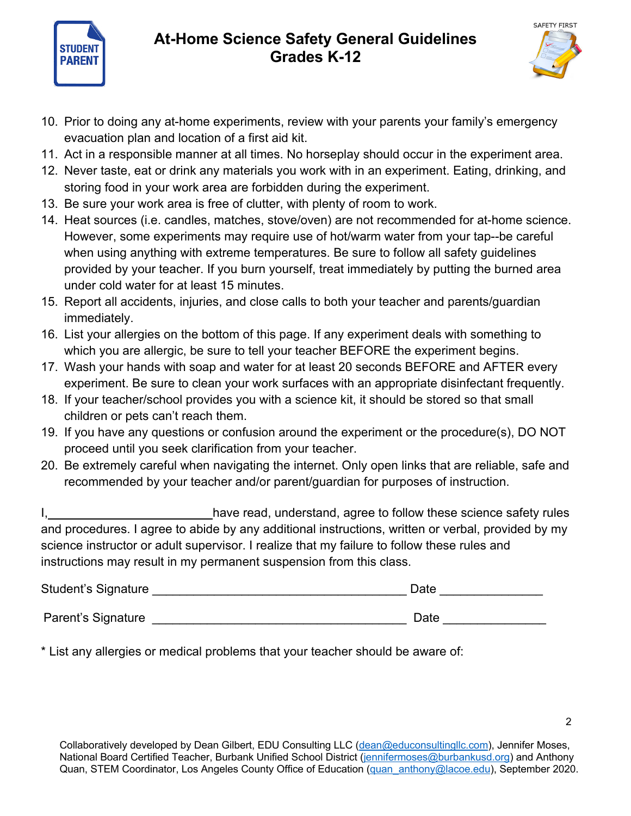

## **At-Home Science Safety General Guidelines Grades K-12**



- 10. Prior to doing any at-home experiments, review with your parents your family's emergency evacuation plan and location of a first aid kit.
- 11. Act in a responsible manner at all times. No horseplay should occur in the experiment area.
- 12. Never taste, eat or drink any materials you work with in an experiment. Eating, drinking, and storing food in your work area are forbidden during the experiment.
- 13. Be sure your work area is free of clutter, with plenty of room to work.
- 14. Heat sources (i.e. candles, matches, stove/oven) are not recommended for at-home science. However, some experiments may require use of hot/warm water from your tap--be careful when using anything with extreme temperatures. Be sure to follow all safety guidelines provided by your teacher. If you burn yourself, treat immediately by putting the burned area under cold water for at least 15 minutes.
- 15. Report all accidents, injuries, and close calls to both your teacher and parents/guardian immediately.
- 16. List your allergies on the bottom of this page. If any experiment deals with something to which you are allergic, be sure to tell your teacher BEFORE the experiment begins.
- 17. Wash your hands with soap and water for at least 20 seconds BEFORE and AFTER every experiment. Be sure to clean your work surfaces with an appropriate disinfectant frequently.
- 18. If your teacher/school provides you with a science kit, it should be stored so that small children or pets can't reach them.
- 19. If you have any questions or confusion around the experiment or the procedure(s), DO NOT proceed until you seek clarification from your teacher.
- 20. Be extremely careful when navigating the internet. Only open links that are reliable, safe and recommended by your teacher and/or parent/guardian for purposes of instruction.

I, have read, understand, agree to follow these science safety rules and procedures. I agree to abide by any additional instructions, written or verbal, provided by my science instructor or adult supervisor. I realize that my failure to follow these rules and instructions may result in my permanent suspension from this class.

| Student's Signature | Date |
|---------------------|------|
| Parent's Signature  | Date |

\* List any allergies or medical problems that your teacher should be aware of: